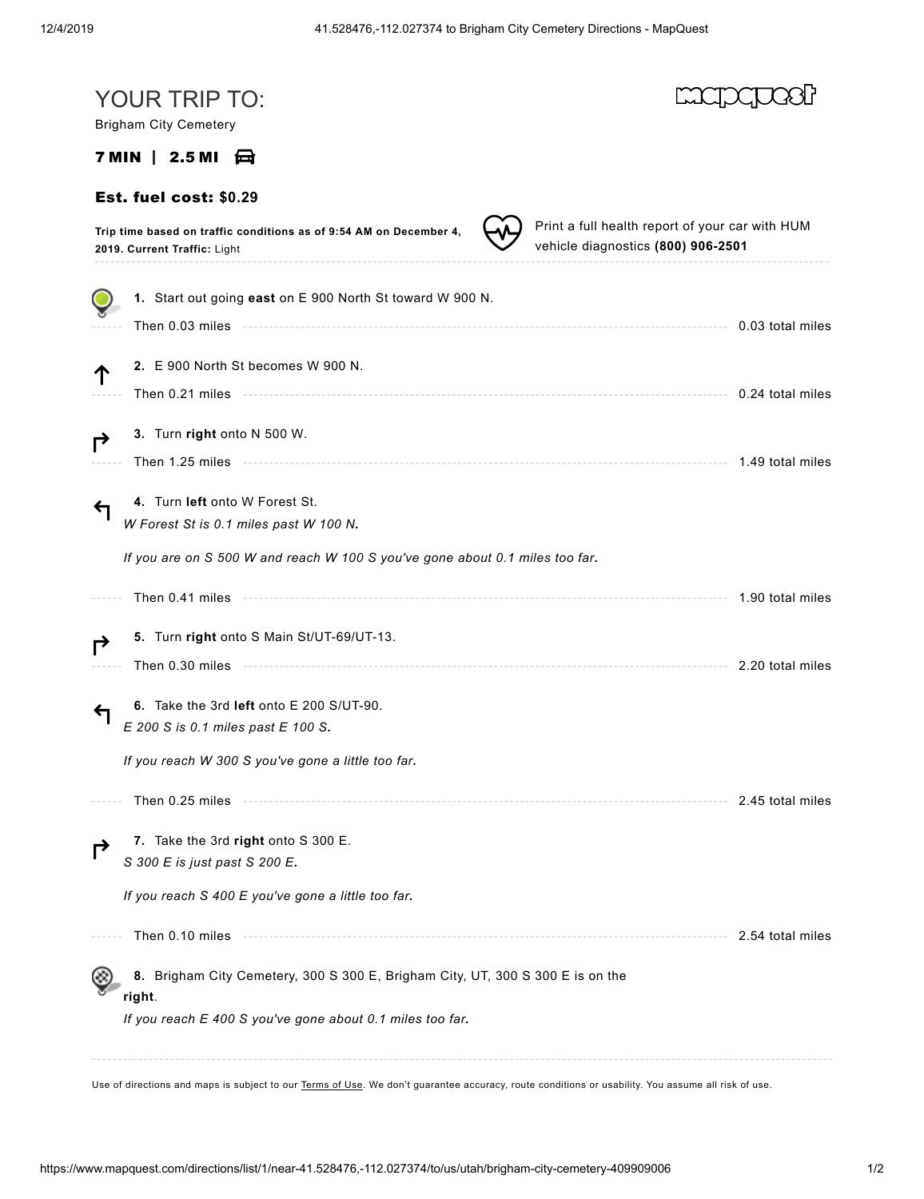| YOUR TRIP TO:<br><b>Brigham City Cemetery</b>                                                                                                                                                                                        |                                                                                       |
|--------------------------------------------------------------------------------------------------------------------------------------------------------------------------------------------------------------------------------------|---------------------------------------------------------------------------------------|
| $7$ MIN $\parallel$ 2.5 MI $\leftarrow$                                                                                                                                                                                              |                                                                                       |
| Est. fuel cost: \$0.29                                                                                                                                                                                                               |                                                                                       |
| Trip time based on traffic conditions as of 9:54 AM on December 4,<br>2019. Current Traffic: Light                                                                                                                                   | Print a full health report of your car with HUM<br>vehicle diagnostics (800) 906-2501 |
| 1. Start out going east on E 900 North St toward W 900 N.                                                                                                                                                                            |                                                                                       |
| Then 0.03 miles <b>Material Contract Contract Contract Contract Contract Contract Contract Contract Contract Contract Contract Contract Contract Contract Contract Contract Contract Contract Contract Contract Contract Contrac</b> | 0.03 total miles                                                                      |
| 2. E 900 North St becomes W 900 N.                                                                                                                                                                                                   |                                                                                       |
|                                                                                                                                                                                                                                      | 0.24 total miles                                                                      |
| 3. Turn right onto N 500 W.                                                                                                                                                                                                          |                                                                                       |
| Then 1.25 miles <b>contract to the contract of the contract of the contract of the contract of the contract of the</b>                                                                                                               | 1.49 total miles                                                                      |
| 4. Turn left onto W Forest St.<br>W Forest St is 0.1 miles past W 100 N.                                                                                                                                                             |                                                                                       |
| If you are on S 500 W and reach W 100 S you've gone about 0.1 miles too far.                                                                                                                                                         |                                                                                       |
| Then 0.41 miles                                                                                                                                                                                                                      | 1.90 total miles                                                                      |
| 5. Turn right onto S Main St/UT-69/UT-13.                                                                                                                                                                                            |                                                                                       |
|                                                                                                                                                                                                                                      | 2.20 total miles                                                                      |
| 6. Take the 3rd left onto E 200 S/UT-90.                                                                                                                                                                                             |                                                                                       |
| E 200 S is 0.1 miles past E 100 S.                                                                                                                                                                                                   |                                                                                       |
| If you reach W 300 S you've gone a little too far.                                                                                                                                                                                   |                                                                                       |
| Then 0.25 miles                                                                                                                                                                                                                      | 2.45 total miles                                                                      |
| 7. Take the 3rd right onto S 300 E.<br>S 300 E is just past S 200 E.                                                                                                                                                                 |                                                                                       |
| If you reach S 400 E you've gone a little too far.                                                                                                                                                                                   |                                                                                       |
| Then 0.10 miles                                                                                                                                                                                                                      | 2.54 total miles                                                                      |
| 8. Brigham City Cemetery, 300 S 300 E, Brigham City, UT, 300 S 300 E is on the<br>right.                                                                                                                                             |                                                                                       |
| If you reach E 400 S you've gone about 0.1 miles too far.                                                                                                                                                                            |                                                                                       |